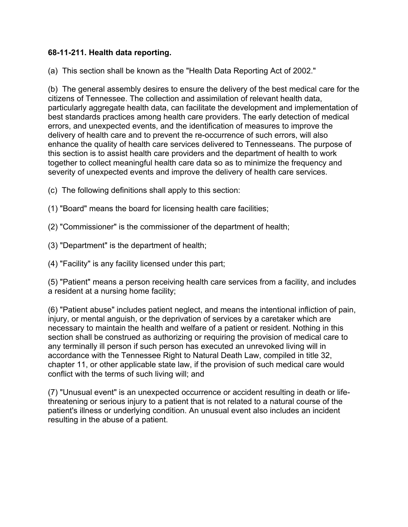## **68-11-211. Health data reporting.**

(a) This section shall be known as the "Health Data Reporting Act of 2002."

(b) The general assembly desires to ensure the delivery of the best medical care for the citizens of Tennessee. The collection and assimilation of relevant health data, particularly aggregate health data, can facilitate the development and implementation of best standards practices among health care providers. The early detection of medical errors, and unexpected events, and the identification of measures to improve the delivery of health care and to prevent the re-occurrence of such errors, will also enhance the quality of health care services delivered to Tennesseans. The purpose of this section is to assist health care providers and the department of health to work together to collect meaningful health care data so as to minimize the frequency and severity of unexpected events and improve the delivery of health care services.

- (c) The following definitions shall apply to this section:
- (1) "Board" means the board for licensing health care facilities;
- (2) "Commissioner" is the commissioner of the department of health;
- (3) "Department" is the department of health;
- (4) "Facility" is any facility licensed under this part;

(5) "Patient" means a person receiving health care services from a facility, and includes a resident at a nursing home facility;

(6) "Patient abuse" includes patient neglect, and means the intentional infliction of pain, injury, or mental anguish, or the deprivation of services by a caretaker which are necessary to maintain the health and welfare of a patient or resident. Nothing in this section shall be construed as authorizing or requiring the provision of medical care to any terminally ill person if such person has executed an unrevoked living will in accordance with the Tennessee Right to Natural Death Law, compiled in title 32, chapter 11, or other applicable state law, if the provision of such medical care would conflict with the terms of such living will; and

(7) "Unusual event" is an unexpected occurrence or accident resulting in death or lifethreatening or serious injury to a patient that is not related to a natural course of the patient's illness or underlying condition. An unusual event also includes an incident resulting in the abuse of a patient.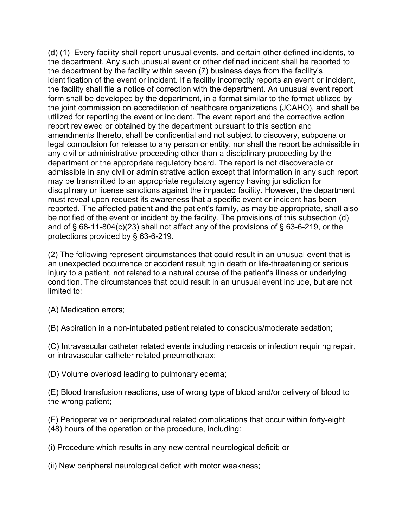(d) (1) Every facility shall report unusual events, and certain other defined incidents, to the department. Any such unusual event or other defined incident shall be reported to the department by the facility within seven (7) business days from the facility's identification of the event or incident. If a facility incorrectly reports an event or incident, the facility shall file a notice of correction with the department. An unusual event report form shall be developed by the department, in a format similar to the format utilized by the joint commission on accreditation of healthcare organizations (JCAHO), and shall be utilized for reporting the event or incident. The event report and the corrective action report reviewed or obtained by the department pursuant to this section and amendments thereto, shall be confidential and not subject to discovery, subpoena or legal compulsion for release to any person or entity, nor shall the report be admissible in any civil or administrative proceeding other than a disciplinary proceeding by the department or the appropriate regulatory board. The report is not discoverable or admissible in any civil or administrative action except that information in any such report may be transmitted to an appropriate regulatory agency having jurisdiction for disciplinary or license sanctions against the impacted facility. However, the department must reveal upon request its awareness that a specific event or incident has been reported. The affected patient and the patient's family, as may be appropriate, shall also be notified of the event or incident by the facility. The provisions of this subsection (d) and of § 68-11-804(c)(23) shall not affect any of the provisions of § 63-6-219, or the protections provided by § 63-6-219.

(2) The following represent circumstances that could result in an unusual event that is an unexpected occurrence or accident resulting in death or life-threatening or serious injury to a patient, not related to a natural course of the patient's illness or underlying condition. The circumstances that could result in an unusual event include, but are not limited to:

(A) Medication errors;

(B) Aspiration in a non-intubated patient related to conscious/moderate sedation;

(C) Intravascular catheter related events including necrosis or infection requiring repair, or intravascular catheter related pneumothorax;

(D) Volume overload leading to pulmonary edema;

(E) Blood transfusion reactions, use of wrong type of blood and/or delivery of blood to the wrong patient;

(F) Perioperative or periprocedural related complications that occur within forty-eight (48) hours of the operation or the procedure, including:

(i) Procedure which results in any new central neurological deficit; or

(ii) New peripheral neurological deficit with motor weakness;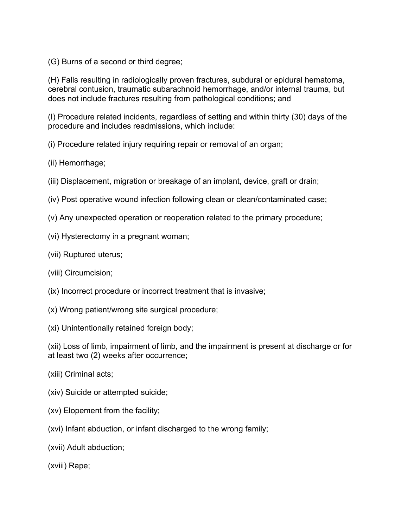(G) Burns of a second or third degree;

(H) Falls resulting in radiologically proven fractures, subdural or epidural hematoma, cerebral contusion, traumatic subarachnoid hemorrhage, and/or internal trauma, but does not include fractures resulting from pathological conditions; and

(I) Procedure related incidents, regardless of setting and within thirty (30) days of the procedure and includes readmissions, which include:

(i) Procedure related injury requiring repair or removal of an organ;

- (ii) Hemorrhage;
- (iii) Displacement, migration or breakage of an implant, device, graft or drain;
- (iv) Post operative wound infection following clean or clean/contaminated case;
- (v) Any unexpected operation or reoperation related to the primary procedure;
- (vi) Hysterectomy in a pregnant woman;
- (vii) Ruptured uterus;
- (viii) Circumcision;
- (ix) Incorrect procedure or incorrect treatment that is invasive;
- (x) Wrong patient/wrong site surgical procedure;
- (xi) Unintentionally retained foreign body;

(xii) Loss of limb, impairment of limb, and the impairment is present at discharge or for at least two (2) weeks after occurrence;

- (xiii) Criminal acts;
- (xiv) Suicide or attempted suicide;
- (xv) Elopement from the facility;
- (xvi) Infant abduction, or infant discharged to the wrong family;
- (xvii) Adult abduction;

(xviii) Rape;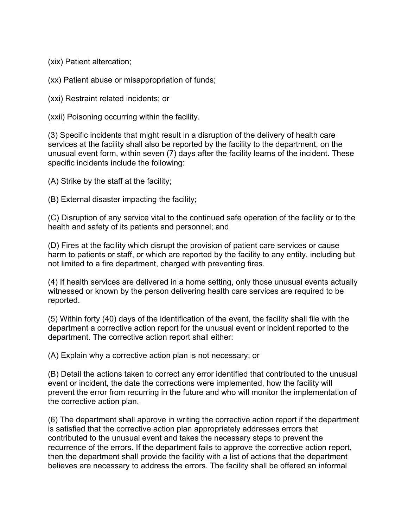(xix) Patient altercation;

(xx) Patient abuse or misappropriation of funds;

(xxi) Restraint related incidents; or

(xxii) Poisoning occurring within the facility.

(3) Specific incidents that might result in a disruption of the delivery of health care services at the facility shall also be reported by the facility to the department, on the unusual event form, within seven (7) days after the facility learns of the incident. These specific incidents include the following:

(A) Strike by the staff at the facility;

(B) External disaster impacting the facility;

(C) Disruption of any service vital to the continued safe operation of the facility or to the health and safety of its patients and personnel; and

(D) Fires at the facility which disrupt the provision of patient care services or cause harm to patients or staff, or which are reported by the facility to any entity, including but not limited to a fire department, charged with preventing fires.

(4) If health services are delivered in a home setting, only those unusual events actually witnessed or known by the person delivering health care services are required to be reported.

(5) Within forty (40) days of the identification of the event, the facility shall file with the department a corrective action report for the unusual event or incident reported to the department. The corrective action report shall either:

(A) Explain why a corrective action plan is not necessary; or

(B) Detail the actions taken to correct any error identified that contributed to the unusual event or incident, the date the corrections were implemented, how the facility will prevent the error from recurring in the future and who will monitor the implementation of the corrective action plan.

(6) The department shall approve in writing the corrective action report if the department is satisfied that the corrective action plan appropriately addresses errors that contributed to the unusual event and takes the necessary steps to prevent the recurrence of the errors. If the department fails to approve the corrective action report, then the department shall provide the facility with a list of actions that the department believes are necessary to address the errors. The facility shall be offered an informal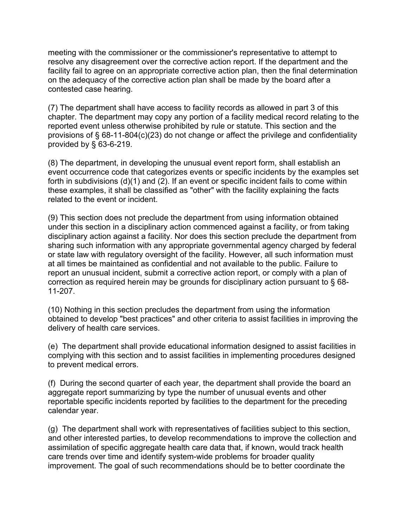meeting with the commissioner or the commissioner's representative to attempt to resolve any disagreement over the corrective action report. If the department and the facility fail to agree on an appropriate corrective action plan, then the final determination on the adequacy of the corrective action plan shall be made by the board after a contested case hearing.

(7) The department shall have access to facility records as allowed in part 3 of this chapter. The department may copy any portion of a facility medical record relating to the reported event unless otherwise prohibited by rule or statute. This section and the provisions of § 68-11-804(c)(23) do not change or affect the privilege and confidentiality provided by § 63-6-219.

(8) The department, in developing the unusual event report form, shall establish an event occurrence code that categorizes events or specific incidents by the examples set forth in subdivisions (d)(1) and (2). If an event or specific incident fails to come within these examples, it shall be classified as "other" with the facility explaining the facts related to the event or incident.

(9) This section does not preclude the department from using information obtained under this section in a disciplinary action commenced against a facility, or from taking disciplinary action against a facility. Nor does this section preclude the department from sharing such information with any appropriate governmental agency charged by federal or state law with regulatory oversight of the facility. However, all such information must at all times be maintained as confidential and not available to the public. Failure to report an unusual incident, submit a corrective action report, or comply with a plan of correction as required herein may be grounds for disciplinary action pursuant to § 68- 11-207.

(10) Nothing in this section precludes the department from using the information obtained to develop "best practices" and other criteria to assist facilities in improving the delivery of health care services.

(e) The department shall provide educational information designed to assist facilities in complying with this section and to assist facilities in implementing procedures designed to prevent medical errors.

(f) During the second quarter of each year, the department shall provide the board an aggregate report summarizing by type the number of unusual events and other reportable specific incidents reported by facilities to the department for the preceding calendar year.

(g) The department shall work with representatives of facilities subject to this section, and other interested parties, to develop recommendations to improve the collection and assimilation of specific aggregate health care data that, if known, would track health care trends over time and identify system-wide problems for broader quality improvement. The goal of such recommendations should be to better coordinate the